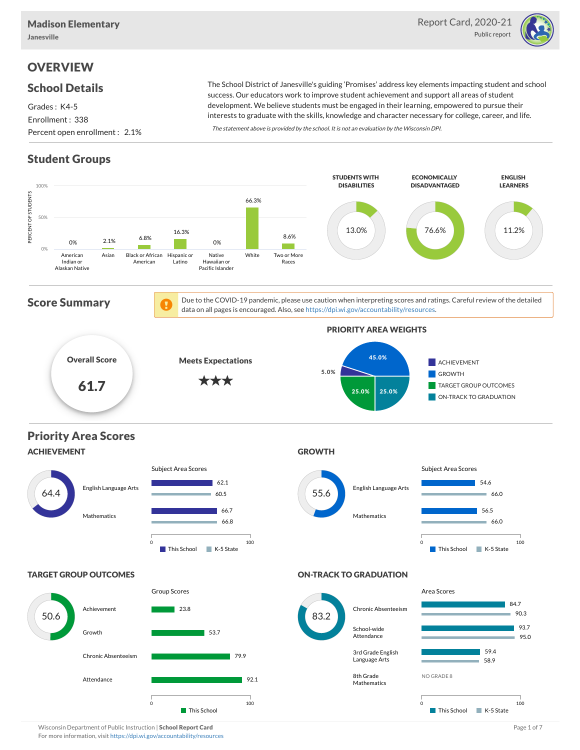

# **OVERVIEW**

### School Details

Grades : K4-5 Enrollment : 338 Percent open enrollment : 2.1%

The School District of Janesville's guiding 'Promises' address key elements impacting student and school success. Our educators work to improve student achievement and support all areas of student development. We believe students must be engaged in their learning, empowered to pursue their interests to graduate with the skills, knowledge and character necessary for college, career, and life.

The statement above is provided by the school. It is not an evaluation by the Wisconsin DPI.

# Student Groups



Wisconsin Department of Public Instruction | School Report Card Page 1 of 7 and 2008 and 2008 and Page 1 of 7 For more information, visit <https://dpi.wi.gov/accountability/resources>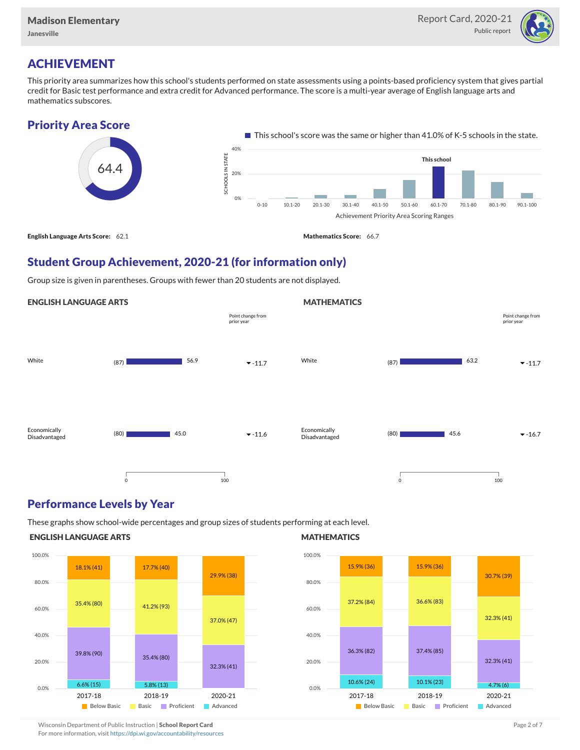

## ACHIEVEMENT

This priority area summarizes how this school's students performed on state assessments using a points-based proficiency system that gives partial credit for Basic test performance and extra credit for Advanced performance. The score is a multi-year average of English language arts and mathematics subscores.

### Priority Area Score



### Student Group Achievement, 2020-21 (for information only)

Group size is given in parentheses. Groups with fewer than 20 students are not displayed.

#### ENGLISH LANGUAGE ARTS



### Performance Levels by Year

These graphs show school-wide percentages and group sizes of students performing at each level.

#### ENGLISH LANGUAGE ARTS



#### **MATHEMATICS**

**MATHEMATICS** 



Wisconsin Department of Public Instruction | School Report Card Page 2 of 7 and 2008 and 2009 and 2 of 7 and 2 of 7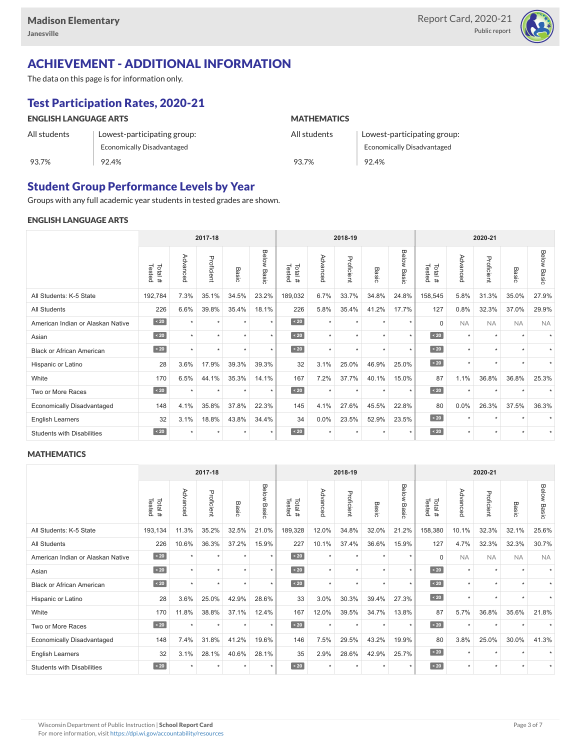

# ACHIEVEMENT - ADDITIONAL INFORMATION

The data on this page is for information only.

# Test Participation Rates, 2020-21

| <b>ENGLISH LANGUAGE ARTS</b> |                             | <b>MATHEMATICS</b> |                             |  |  |  |  |  |
|------------------------------|-----------------------------|--------------------|-----------------------------|--|--|--|--|--|
| All students                 | Lowest-participating group: | All students       | Lowest-participating group: |  |  |  |  |  |
|                              | Economically Disadvantaged  |                    | Economically Disadvantaged  |  |  |  |  |  |
| 93.7%                        | 92.4%                       | 93.7%              | 92.4%                       |  |  |  |  |  |

# Student Group Performance Levels by Year

Groups with any full academic year students in tested grades are shown.

### ENGLISH LANGUAGE ARTS

|                                   | 2017-18          |           |            |         |                    |                  | 2018-19  |            |           |                | 2020-21          |           |            |                      |                    |
|-----------------------------------|------------------|-----------|------------|---------|--------------------|------------------|----------|------------|-----------|----------------|------------------|-----------|------------|----------------------|--------------------|
|                                   | Total#<br>Tested | Advanced  | Proficient | Basic   | <b>Below Basic</b> | Tested<br>Total# | Advanced | Proficient | Basic     | Below<br>Basic | Tested<br>Total# | Advanced  | Proficient | Basic                | <b>Below Basic</b> |
| All Students: K-5 State           | 192,784          | 7.3%      | 35.1%      | 34.5%   | 23.2%              | 189,032          | 6.7%     | 33.7%      | 34.8%     | 24.8%          | 158,545          | 5.8%      | 31.3%      | 35.0%                | 27.9%              |
| <b>All Students</b>               | 226              | 6.6%      | 39.8%      | 35.4%   | 18.1%              | 226              | 5.8%     | 35.4%      | 41.2%     | 17.7%          | 127              | 0.8%      | 32.3%      | 37.0%                | 29.9%              |
| American Indian or Alaskan Native | $\angle 20$      | $\star$   | $\star$    | ٠       | $\star$            | $\sim 20$        | $\star$  | $\star$    | $\star$   | $\star$        | $\Omega$         | <b>NA</b> | <b>NA</b>  | <b>NA</b>            | <b>NA</b>          |
| Asian                             | $\sim 20$        | $\star$   | $\star$    | ٠       | $\star$            | $\sim 20$        | $\star$  | $\star$    | $\star$   | $\star$        | $\sim 20$        | $\star$   | $\star$    | $\ddot{}$            |                    |
| <b>Black or African American</b>  | $\sim 20$        | $\star$   | $\star$    | $\star$ | $\star$            | $\angle 20$      | $\star$  | $\star$    | $\star$   | $\star$        | $\sim 20$        | $\star$   | $\star$    |                      |                    |
| Hispanic or Latino                | 28               | 3.6%      | 17.9%      | 39.3%   | 39.3%              | 32               | 3.1%     | 25.0%      | 46.9%     | 25.0%          | $\sim 20$        | $\star$   | $\star$    | $\ddot{\phantom{1}}$ |                    |
| White                             | 170              | 6.5%      | 44.1%      | 35.3%   | 14.1%              | 167              | 7.2%     | 37.7%      | 40.1%     | 15.0%          | 87               | 1.1%      | 36.8%      | 36.8%                | 25.3%              |
| Two or More Races                 | $\sim 20$        | $\ddot{}$ | $\star$    | $\star$ | $\star$            | $\sim 20$        | $\star$  | $\star$    | $\ddot{}$ | $\star$        | $\sim 20$        | $\star$   | $\star$    |                      |                    |
| <b>Economically Disadvantaged</b> | 148              | 4.1%      | 35.8%      | 37.8%   | 22.3%              | 145              | 4.1%     | 27.6%      | 45.5%     | 22.8%          | 80               | 0.0%      | 26.3%      | 37.5%                | 36.3%              |
| <b>English Learners</b>           | 32               | 3.1%      | 18.8%      | 43.8%   | 34.4%              | 34               | 0.0%     | 23.5%      | 52.9%     | 23.5%          | $\sim 20$        | $\star$   | $\star$    |                      |                    |
| <b>Students with Disabilities</b> | $\leq 20$        | $\star$   | $\star$    | $\star$ | $\star$            | $\sim 20$        | $\star$  | $\star$    | $\star$   | $\star$        | $\sim 20$        | $\star$   | $\star$    | $\star$              |                    |

#### **MATHEMATICS**

|                                   | 2017-18           |                      |            |         |                |                  | 2018-19  |            |         |                | 2020-21          |           |            |                          |                    |
|-----------------------------------|-------------------|----------------------|------------|---------|----------------|------------------|----------|------------|---------|----------------|------------------|-----------|------------|--------------------------|--------------------|
|                                   | Tested<br>Total # | Advanced             | Proficient | Basic   | Below<br>Basic | Total#<br>Tested | Advanced | Proficient | Basic   | Below<br>Basic | Tested<br>Total# | Advanced  | Proficient | Basic                    | <b>Below Basic</b> |
| All Students: K-5 State           | 193,134           | 11.3%                | 35.2%      | 32.5%   | 21.0%          | 189,328          | 12.0%    | 34.8%      | 32.0%   | 21.2%          | 158,380          | 10.1%     | 32.3%      | 32.1%                    | 25.6%              |
| <b>All Students</b>               | 226               | 10.6%                | 36.3%      | 37.2%   | 15.9%          | 227              | 10.1%    | 37.4%      | 36.6%   | 15.9%          | 127              | 4.7%      | 32.3%      | 32.3%                    | 30.7%              |
| American Indian or Alaskan Native | $\sim 20$         | $\star$              | $\star$    | $\star$ | $\star$        | $\overline{20}$  | $\star$  | $\star$    | $\star$ | $\star$        | $\Omega$         | <b>NA</b> | <b>NA</b>  | <b>NA</b>                | <b>NA</b>          |
| Asian                             | $\sim 20$         | $\ddot{}$            | $\star$    | ٠       | $\star$        | $\sim 20$        | $\star$  | $\star$    | $\star$ | $\star$        | $\angle 20$      | $\star$   | $\star$    | $\overline{\phantom{a}}$ |                    |
| <b>Black or African American</b>  | $\angle 20$       | $\ddot{\phantom{1}}$ | $\star$    | $\star$ | $\star$        | $\angle 20$      | $\star$  | $\star$    | $\star$ | $\star$        | $\angle 20$      | $\star$   | ٠          |                          |                    |
| Hispanic or Latino                | 28                | 3.6%                 | 25.0%      | 42.9%   | 28.6%          | 33               | 3.0%     | 30.3%      | 39.4%   | 27.3%          | $\sim 20$        | $\star$   | $\star$    |                          |                    |
| White                             | 170               | 11.8%                | 38.8%      | 37.1%   | 12.4%          | 167              | 12.0%    | 39.5%      | 34.7%   | 13.8%          | 87               | 5.7%      | 36.8%      | 35.6%                    | 21.8%              |
| Two or More Races                 | $\sim 20$         |                      | $\star$    | $\star$ | $\star$        | $\sim 20$        | $\star$  | $\star$    | $\star$ | $\star$        | $\sim 20$        | $\star$   | $\star$    |                          |                    |
| <b>Economically Disadvantaged</b> | 148               | 7.4%                 | 31.8%      | 41.2%   | 19.6%          | 146              | 7.5%     | 29.5%      | 43.2%   | 19.9%          | 80               | 3.8%      | 25.0%      | 30.0%                    | 41.3%              |
| English Learners                  | 32                | 3.1%                 | 28.1%      | 40.6%   | 28.1%          | 35               | 2.9%     | 28.6%      | 42.9%   | 25.7%          | $\angle 20$      | $\star$   | $\star$    |                          |                    |
| <b>Students with Disabilities</b> | $\angle 20$       | $\ddot{\phantom{1}}$ | $\star$    | $\star$ | $\star$        | $\angle 20$      | $\star$  | $\star$    |         | $\star$        | $\sim 20$        | $\star$   | $\star$    |                          |                    |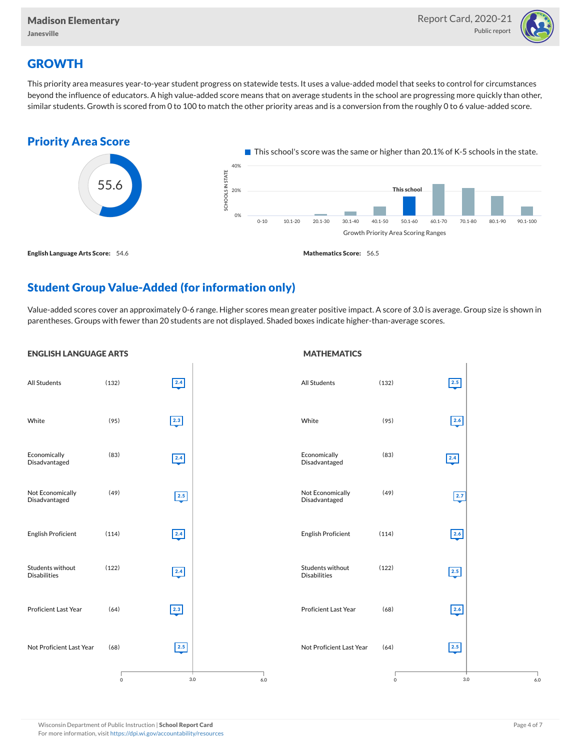

# **GROWTH**

This priority area measures year-to-year student progress on statewide tests. It uses a value-added model that seeks to control for circumstances beyond the influence of educators. A high value-added score means that on average students in the school are progressing more quickly than other, similar students. Growth is scored from 0 to 100 to match the other priority areas and is a conversion from the roughly 0 to 6 value-added score.



# Student Group Value-Added (for information only)

Value-added scores cover an approximately 0-6 range. Higher scores mean greater positive impact. A score of 3.0 is average. Group size is shown in parentheses. Groups with fewer than 20 students are not displayed. Shaded boxes indicate higher-than-average scores.

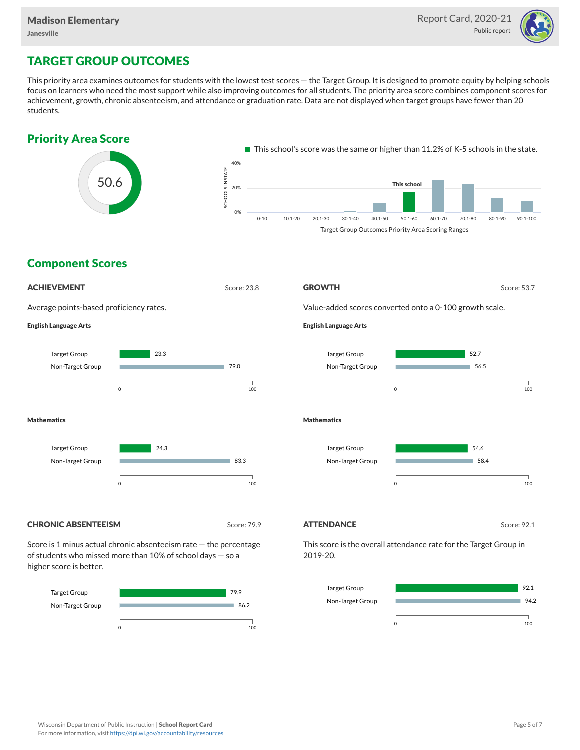

### TARGET GROUP OUTCOMES

This priority area examines outcomes for students with the lowest test scores — the Target Group. It is designed to promote equity by helping schools focus on learners who need the most support while also improving outcomes for all students. The priority area score combines component scores for achievement, growth, chronic absenteeism, and attendance or graduation rate. Data are not displayed when target groups have fewer than 20 students.





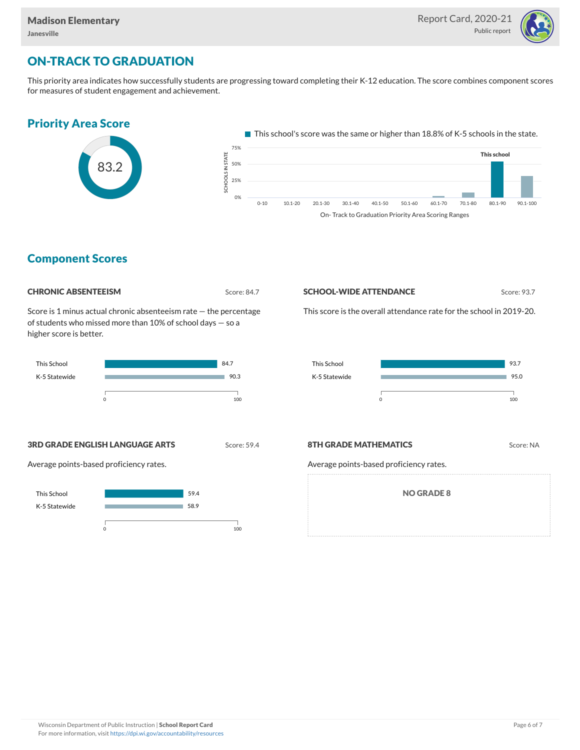

# ON-TRACK TO GRADUATION

This priority area indicates how successfully students are progressing toward completing their K-12 education. The score combines component scores for measures of student engagement and achievement.



On- Track to Graduation Priority Area Scoring Ranges

### Component Scores



Score is 1 minus actual chronic absenteeism rate — the percentage of students who missed more than 10% of school days — so a higher score is better.



#### **SCHOOL-WIDE ATTENDANCE** Score: 93.7

This school

This score is the overall attendance rate for the school in 2019-20.



**3RD GRADE ENGLISH LANGUAGE ARTS** Score: 59.4

Average points-based proficiency rates.



#### **8TH GRADE MATHEMATICS** Score: NA

Average points-based proficiency rates.

NO GRADE 8